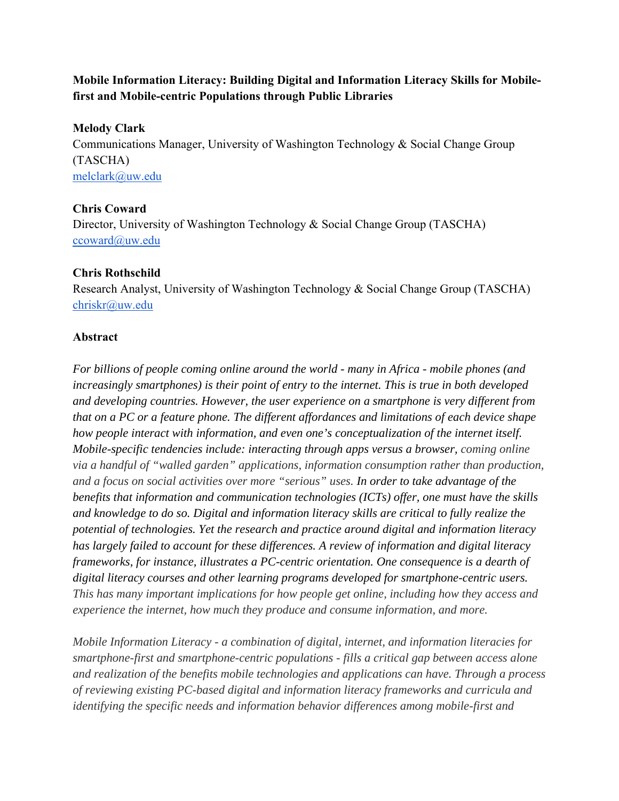# **Mobile Information Literacy: Building Digital and Information Literacy Skills for Mobilefirst and Mobile-centric Populations through Public Libraries**

# **Melody Clark**

Communications Manager, University of Washington Technology & Social Change Group (TASCHA) melclark@uw.edu

# **Chris Coward**

Director, University of Washington Technology & Social Change Group (TASCHA) ccoward@uw.edu

# **Chris Rothschild**

Research Analyst, University of Washington Technology & Social Change Group (TASCHA) chriskr@uw.edu

# **Abstract**

*For billions of people coming online around the world - many in Africa - mobile phones (and increasingly smartphones) is their point of entry to the internet. This is true in both developed and developing countries. However, the user experience on a smartphone is very different from that on a PC or a feature phone. The different affordances and limitations of each device shape how people interact with information, and even one's conceptualization of the internet itself. Mobile-specific tendencies include: interacting through apps versus a browser, coming online via a handful of "walled garden" applications, information consumption rather than production, and a focus on social activities over more "serious" uses. In order to take advantage of the benefits that information and communication technologies (ICTs) offer, one must have the skills and knowledge to do so. Digital and information literacy skills are critical to fully realize the potential of technologies. Yet the research and practice around digital and information literacy has largely failed to account for these differences. A review of information and digital literacy frameworks, for instance, illustrates a PC-centric orientation. One consequence is a dearth of digital literacy courses and other learning programs developed for smartphone-centric users. This has many important implications for how people get online, including how they access and experience the internet, how much they produce and consume information, and more.*

*Mobile Information Literacy - a combination of digital, internet, and information literacies for smartphone-first and smartphone-centric populations - fills a critical gap between access alone and realization of the benefits mobile technologies and applications can have. Through a process of reviewing existing PC-based digital and information literacy frameworks and curricula and identifying the specific needs and information behavior differences among mobile-first and*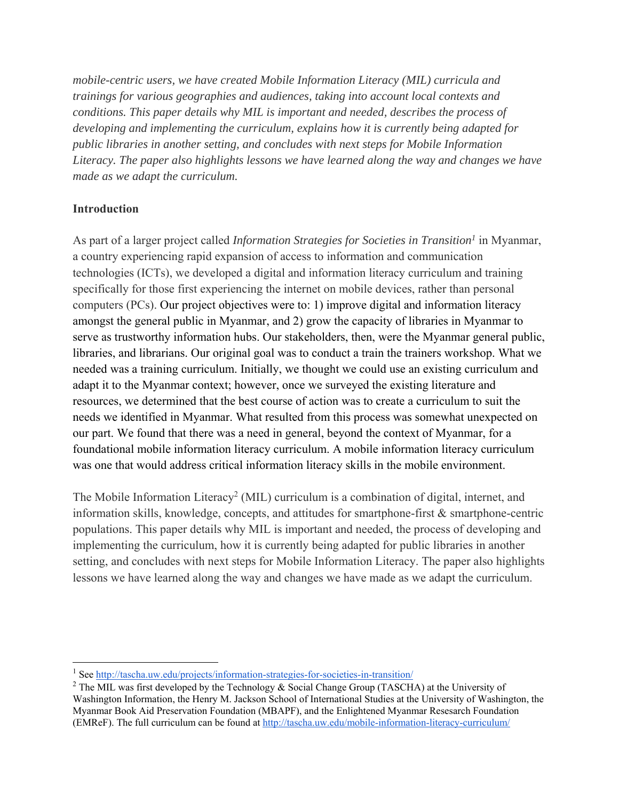*mobile-centric users, we have created Mobile Information Literacy (MIL) curricula and trainings for various geographies and audiences, taking into account local contexts and conditions. This paper details why MIL is important and needed, describes the process of developing and implementing the curriculum, explains how it is currently being adapted for public libraries in another setting, and concludes with next steps for Mobile Information Literacy. The paper also highlights lessons we have learned along the way and changes we have made as we adapt the curriculum.* 

## **Introduction**

As part of a larger project called *Information Strategies for Societies in Transition<sup>1</sup>* in Myanmar, a country experiencing rapid expansion of access to information and communication technologies (ICTs), we developed a digital and information literacy curriculum and training specifically for those first experiencing the internet on mobile devices, rather than personal computers (PCs). Our project objectives were to: 1) improve digital and information literacy amongst the general public in Myanmar, and 2) grow the capacity of libraries in Myanmar to serve as trustworthy information hubs. Our stakeholders, then, were the Myanmar general public, libraries, and librarians. Our original goal was to conduct a train the trainers workshop. What we needed was a training curriculum. Initially, we thought we could use an existing curriculum and adapt it to the Myanmar context; however, once we surveyed the existing literature and resources, we determined that the best course of action was to create a curriculum to suit the needs we identified in Myanmar. What resulted from this process was somewhat unexpected on our part. We found that there was a need in general, beyond the context of Myanmar, for a foundational mobile information literacy curriculum. A mobile information literacy curriculum was one that would address critical information literacy skills in the mobile environment.

The Mobile Information Literacy<sup>2</sup> (MIL) curriculum is a combination of digital, internet, and information skills, knowledge, concepts, and attitudes for smartphone-first & smartphone-centric populations. This paper details why MIL is important and needed, the process of developing and implementing the curriculum, how it is currently being adapted for public libraries in another setting, and concludes with next steps for Mobile Information Literacy. The paper also highlights lessons we have learned along the way and changes we have made as we adapt the curriculum.

<sup>&</sup>lt;sup>1</sup> See http://tascha.uw.edu/projects/information-strategies-for-societies-in-transition/

<sup>&</sup>lt;sup>2</sup> The MIL was first developed by the Technology & Social Change Group (TASCHA) at the University of Washington Information, the Henry M. Jackson School of International Studies at the University of Washington, the Myanmar Book Aid Preservation Foundation (MBAPF), and the Enlightened Myanmar Resesarch Foundation (EMReF). The full curriculum can be found at http://tascha.uw.edu/mobile-information-literacy-curriculum/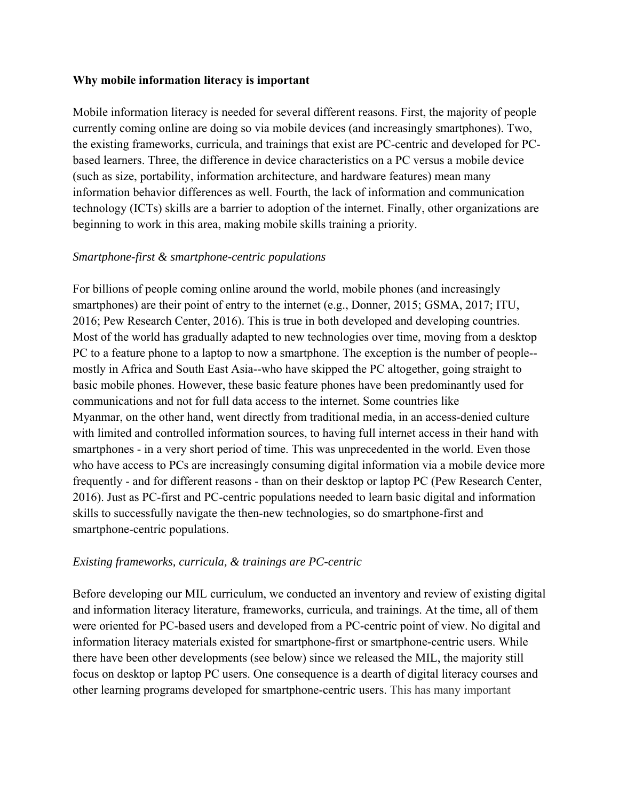#### **Why mobile information literacy is important**

Mobile information literacy is needed for several different reasons. First, the majority of people currently coming online are doing so via mobile devices (and increasingly smartphones). Two, the existing frameworks, curricula, and trainings that exist are PC-centric and developed for PCbased learners. Three, the difference in device characteristics on a PC versus a mobile device (such as size, portability, information architecture, and hardware features) mean many information behavior differences as well. Fourth, the lack of information and communication technology (ICTs) skills are a barrier to adoption of the internet. Finally, other organizations are beginning to work in this area, making mobile skills training a priority.

#### *Smartphone-first & smartphone-centric populations*

For billions of people coming online around the world, mobile phones (and increasingly smartphones) are their point of entry to the internet (e.g., Donner, 2015; GSMA, 2017; ITU, 2016; Pew Research Center, 2016). This is true in both developed and developing countries. Most of the world has gradually adapted to new technologies over time, moving from a desktop PC to a feature phone to a laptop to now a smartphone. The exception is the number of people-mostly in Africa and South East Asia--who have skipped the PC altogether, going straight to basic mobile phones. However, these basic feature phones have been predominantly used for communications and not for full data access to the internet. Some countries like Myanmar, on the other hand, went directly from traditional media, in an access-denied culture with limited and controlled information sources, to having full internet access in their hand with smartphones - in a very short period of time. This was unprecedented in the world. Even those who have access to PCs are increasingly consuming digital information via a mobile device more frequently - and for different reasons - than on their desktop or laptop PC (Pew Research Center, 2016). Just as PC-first and PC-centric populations needed to learn basic digital and information skills to successfully navigate the then-new technologies, so do smartphone-first and smartphone-centric populations.

#### *Existing frameworks, curricula, & trainings are PC-centric*

Before developing our MIL curriculum, we conducted an inventory and review of existing digital and information literacy literature, frameworks, curricula, and trainings. At the time, all of them were oriented for PC-based users and developed from a PC-centric point of view. No digital and information literacy materials existed for smartphone-first or smartphone-centric users. While there have been other developments (see below) since we released the MIL, the majority still focus on desktop or laptop PC users. One consequence is a dearth of digital literacy courses and other learning programs developed for smartphone-centric users. This has many important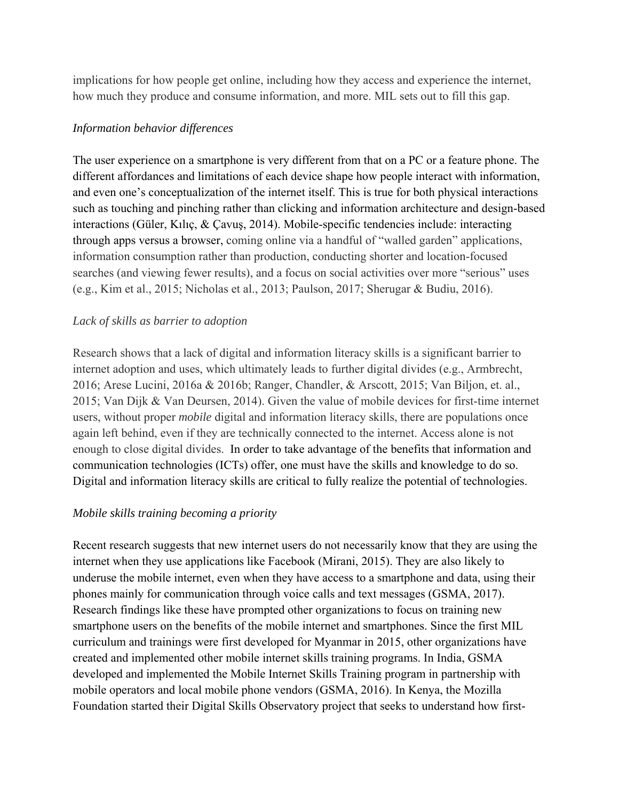implications for how people get online, including how they access and experience the internet, how much they produce and consume information, and more. MIL sets out to fill this gap.

### *Information behavior differences*

The user experience on a smartphone is very different from that on a PC or a feature phone. The different affordances and limitations of each device shape how people interact with information, and even one's conceptualization of the internet itself. This is true for both physical interactions such as touching and pinching rather than clicking and information architecture and design-based interactions (Güler, Kılıç, & Çavuş, 2014). Mobile-specific tendencies include: interacting through apps versus a browser, coming online via a handful of "walled garden" applications, information consumption rather than production, conducting shorter and location-focused searches (and viewing fewer results), and a focus on social activities over more "serious" uses (e.g., Kim et al., 2015; Nicholas et al., 2013; Paulson, 2017; Sherugar & Budiu, 2016).

### *Lack of skills as barrier to adoption*

Research shows that a lack of digital and information literacy skills is a significant barrier to internet adoption and uses, which ultimately leads to further digital divides (e.g., Armbrecht, 2016; Arese Lucini, 2016a & 2016b; Ranger, Chandler, & Arscott, 2015; Van Biljon, et. al., 2015; Van Dijk & Van Deursen, 2014). Given the value of mobile devices for first-time internet users, without proper *mobile* digital and information literacy skills, there are populations once again left behind, even if they are technically connected to the internet. Access alone is not enough to close digital divides. In order to take advantage of the benefits that information and communication technologies (ICTs) offer, one must have the skills and knowledge to do so. Digital and information literacy skills are critical to fully realize the potential of technologies.

#### *Mobile skills training becoming a priority*

Recent research suggests that new internet users do not necessarily know that they are using the internet when they use applications like Facebook (Mirani, 2015). They are also likely to underuse the mobile internet, even when they have access to a smartphone and data, using their phones mainly for communication through voice calls and text messages (GSMA, 2017). Research findings like these have prompted other organizations to focus on training new smartphone users on the benefits of the mobile internet and smartphones. Since the first MIL curriculum and trainings were first developed for Myanmar in 2015, other organizations have created and implemented other mobile internet skills training programs. In India, GSMA developed and implemented the Mobile Internet Skills Training program in partnership with mobile operators and local mobile phone vendors (GSMA, 2016). In Kenya, the Mozilla Foundation started their Digital Skills Observatory project that seeks to understand how first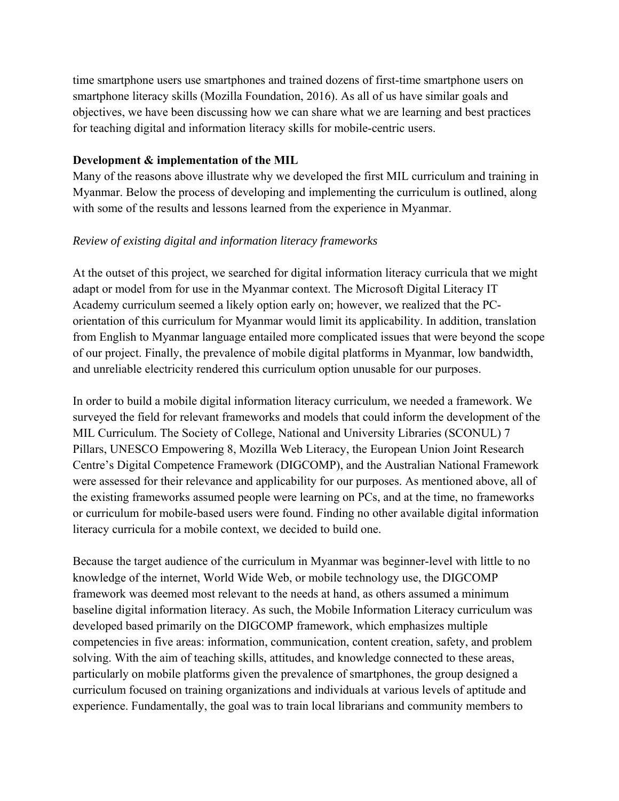time smartphone users use smartphones and trained dozens of first-time smartphone users on smartphone literacy skills (Mozilla Foundation, 2016). As all of us have similar goals and objectives, we have been discussing how we can share what we are learning and best practices for teaching digital and information literacy skills for mobile-centric users.

### **Development & implementation of the MIL**

Many of the reasons above illustrate why we developed the first MIL curriculum and training in Myanmar. Below the process of developing and implementing the curriculum is outlined, along with some of the results and lessons learned from the experience in Myanmar.

## *Review of existing digital and information literacy frameworks*

At the outset of this project, we searched for digital information literacy curricula that we might adapt or model from for use in the Myanmar context. The Microsoft Digital Literacy IT Academy curriculum seemed a likely option early on; however, we realized that the PCorientation of this curriculum for Myanmar would limit its applicability. In addition, translation from English to Myanmar language entailed more complicated issues that were beyond the scope of our project. Finally, the prevalence of mobile digital platforms in Myanmar, low bandwidth, and unreliable electricity rendered this curriculum option unusable for our purposes.

In order to build a mobile digital information literacy curriculum, we needed a framework. We surveyed the field for relevant frameworks and models that could inform the development of the MIL Curriculum. The Society of College, National and University Libraries (SCONUL) 7 Pillars, UNESCO Empowering 8, Mozilla Web Literacy, the European Union Joint Research Centre's Digital Competence Framework (DIGCOMP), and the Australian National Framework were assessed for their relevance and applicability for our purposes. As mentioned above, all of the existing frameworks assumed people were learning on PCs, and at the time, no frameworks or curriculum for mobile-based users were found. Finding no other available digital information literacy curricula for a mobile context, we decided to build one.

Because the target audience of the curriculum in Myanmar was beginner-level with little to no knowledge of the internet, World Wide Web, or mobile technology use, the DIGCOMP framework was deemed most relevant to the needs at hand, as others assumed a minimum baseline digital information literacy. As such, the Mobile Information Literacy curriculum was developed based primarily on the DIGCOMP framework, which emphasizes multiple competencies in five areas: information, communication, content creation, safety, and problem solving. With the aim of teaching skills, attitudes, and knowledge connected to these areas, particularly on mobile platforms given the prevalence of smartphones, the group designed a curriculum focused on training organizations and individuals at various levels of aptitude and experience. Fundamentally, the goal was to train local librarians and community members to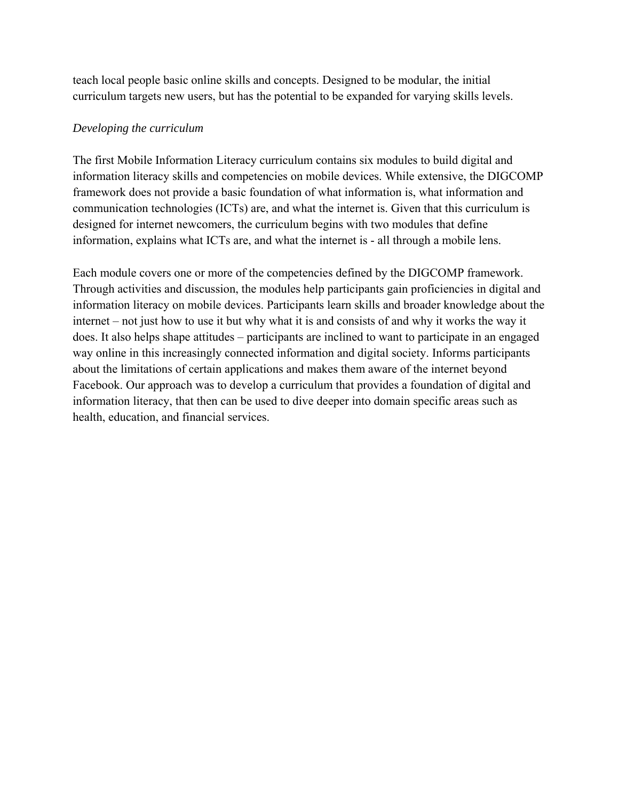teach local people basic online skills and concepts. Designed to be modular, the initial curriculum targets new users, but has the potential to be expanded for varying skills levels.

### *Developing the curriculum*

The first Mobile Information Literacy curriculum contains six modules to build digital and information literacy skills and competencies on mobile devices. While extensive, the DIGCOMP framework does not provide a basic foundation of what information is, what information and communication technologies (ICTs) are, and what the internet is. Given that this curriculum is designed for internet newcomers, the curriculum begins with two modules that define information, explains what ICTs are, and what the internet is - all through a mobile lens.

Each module covers one or more of the competencies defined by the DIGCOMP framework. Through activities and discussion, the modules help participants gain proficiencies in digital and information literacy on mobile devices. Participants learn skills and broader knowledge about the internet – not just how to use it but why what it is and consists of and why it works the way it does. It also helps shape attitudes – participants are inclined to want to participate in an engaged way online in this increasingly connected information and digital society. Informs participants about the limitations of certain applications and makes them aware of the internet beyond Facebook. Our approach was to develop a curriculum that provides a foundation of digital and information literacy, that then can be used to dive deeper into domain specific areas such as health, education, and financial services.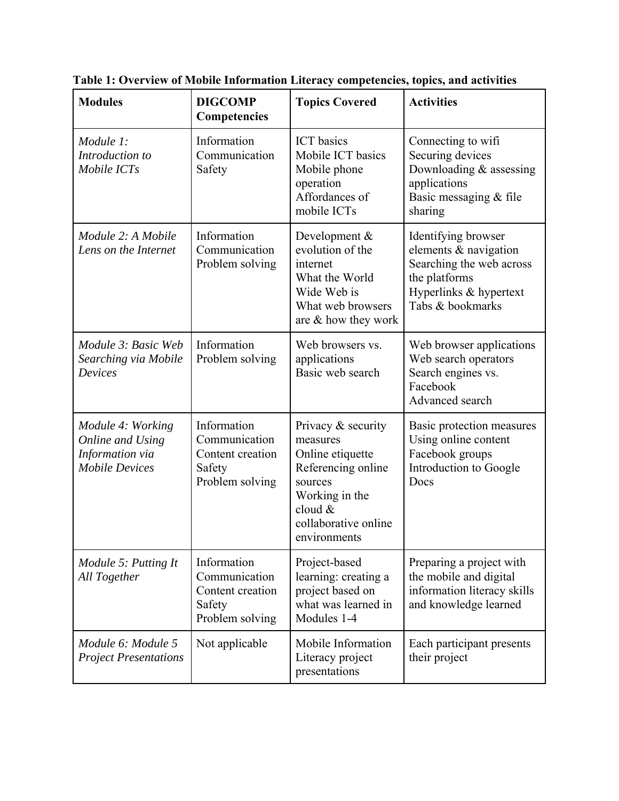| <b>Modules</b>                                                                           | <b>DIGCOMP</b><br>Competencies                                                | <b>Topics Covered</b>                                                                                                                                      | <b>Activities</b>                                                                                                                       |
|------------------------------------------------------------------------------------------|-------------------------------------------------------------------------------|------------------------------------------------------------------------------------------------------------------------------------------------------------|-----------------------------------------------------------------------------------------------------------------------------------------|
| Module 1:<br>Introduction to<br>Mobile ICTs                                              | Information<br>Communication<br>Safety                                        | <b>ICT</b> basics<br>Mobile ICT basics<br>Mobile phone<br>operation<br>Affordances of<br>mobile ICTs                                                       | Connecting to wifi<br>Securing devices<br>Downloading & assessing<br>applications<br>Basic messaging & file<br>sharing                  |
| Module 2: A Mobile<br>Lens on the Internet                                               | Information<br>Communication<br>Problem solving                               | Development &<br>evolution of the<br>internet<br>What the World<br>Wide Web is<br>What web browsers<br>are $&$ how they work                               | Identifying browser<br>elements & navigation<br>Searching the web across<br>the platforms<br>Hyperlinks & hypertext<br>Tabs & bookmarks |
| Module 3: Basic Web<br>Searching via Mobile<br>Devices                                   | Information<br>Problem solving                                                | Web browsers vs.<br>applications<br>Basic web search                                                                                                       | Web browser applications<br>Web search operators<br>Search engines vs.<br>Facebook<br>Advanced search                                   |
| Module 4: Working<br><b>Online and Using</b><br>Information via<br><b>Mobile Devices</b> | Information<br>Communication<br>Content creation<br>Safety<br>Problem solving | Privacy & security<br>measures<br>Online etiquette<br>Referencing online<br>sources<br>Working in the<br>cloud $&$<br>collaborative online<br>environments | Basic protection measures<br>Using online content<br>Facebook groups<br>Introduction to Google<br>Docs                                  |
| Module 5: Putting It<br>All Together                                                     | Information<br>Communication<br>Content creation<br>Safety<br>Problem solving | Project-based<br>learning: creating a<br>project based on<br>what was learned in<br>Modules 1-4                                                            | Preparing a project with<br>the mobile and digital<br>information literacy skills<br>and knowledge learned                              |
| Module 6: Module 5<br><b>Project Presentations</b>                                       | Not applicable                                                                | Mobile Information<br>Literacy project<br>presentations                                                                                                    | Each participant presents<br>their project                                                                                              |

**Table 1: Overview of Mobile Information Literacy competencies, topics, and activities**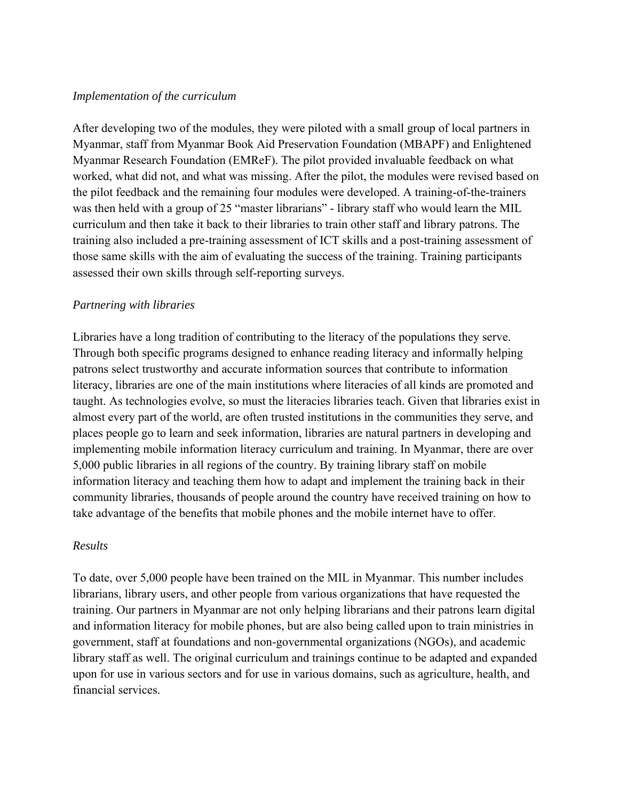#### *Implementation of the curriculum*

After developing two of the modules, they were piloted with a small group of local partners in Myanmar, staff from Myanmar Book Aid Preservation Foundation (MBAPF) and Enlightened Myanmar Research Foundation (EMReF). The pilot provided invaluable feedback on what worked, what did not, and what was missing. After the pilot, the modules were revised based on the pilot feedback and the remaining four modules were developed. A training-of-the-trainers was then held with a group of 25 "master librarians" - library staff who would learn the MIL curriculum and then take it back to their libraries to train other staff and library patrons. The training also included a pre-training assessment of ICT skills and a post-training assessment of those same skills with the aim of evaluating the success of the training. Training participants assessed their own skills through self-reporting surveys.

#### *Partnering with libraries*

Libraries have a long tradition of contributing to the literacy of the populations they serve. Through both specific programs designed to enhance reading literacy and informally helping patrons select trustworthy and accurate information sources that contribute to information literacy, libraries are one of the main institutions where literacies of all kinds are promoted and taught. As technologies evolve, so must the literacies libraries teach. Given that libraries exist in almost every part of the world, are often trusted institutions in the communities they serve, and places people go to learn and seek information, libraries are natural partners in developing and implementing mobile information literacy curriculum and training. In Myanmar, there are over 5,000 public libraries in all regions of the country. By training library staff on mobile information literacy and teaching them how to adapt and implement the training back in their community libraries, thousands of people around the country have received training on how to take advantage of the benefits that mobile phones and the mobile internet have to offer.

#### *Results*

To date, over 5,000 people have been trained on the MIL in Myanmar. This number includes librarians, library users, and other people from various organizations that have requested the training. Our partners in Myanmar are not only helping librarians and their patrons learn digital and information literacy for mobile phones, but are also being called upon to train ministries in government, staff at foundations and non-governmental organizations (NGOs), and academic library staff as well. The original curriculum and trainings continue to be adapted and expanded upon for use in various sectors and for use in various domains, such as agriculture, health, and financial services.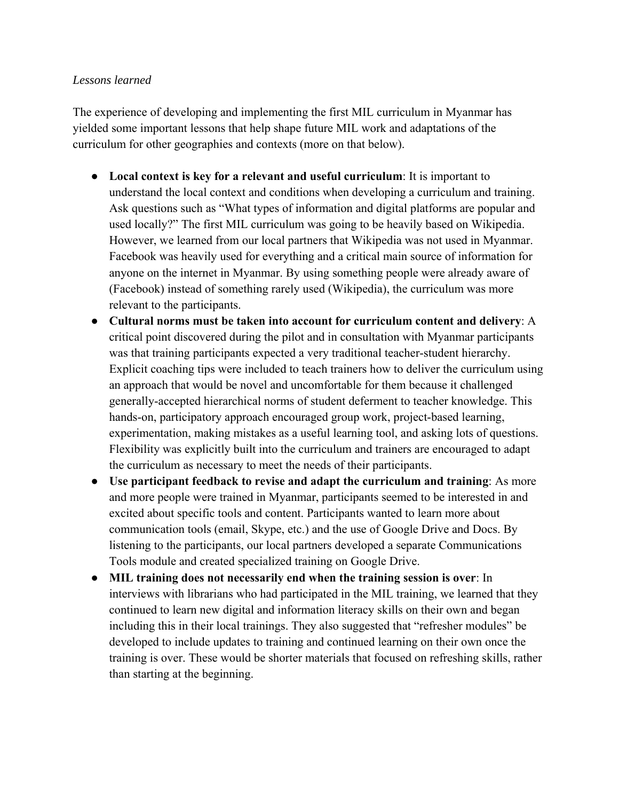### *Lessons learned*

The experience of developing and implementing the first MIL curriculum in Myanmar has yielded some important lessons that help shape future MIL work and adaptations of the curriculum for other geographies and contexts (more on that below).

- **Local context is key for a relevant and useful curriculum**: It is important to understand the local context and conditions when developing a curriculum and training. Ask questions such as "What types of information and digital platforms are popular and used locally?" The first MIL curriculum was going to be heavily based on Wikipedia. However, we learned from our local partners that Wikipedia was not used in Myanmar. Facebook was heavily used for everything and a critical main source of information for anyone on the internet in Myanmar. By using something people were already aware of (Facebook) instead of something rarely used (Wikipedia), the curriculum was more relevant to the participants.
- **Cultural norms must be taken into account for curriculum content and delivery**: A critical point discovered during the pilot and in consultation with Myanmar participants was that training participants expected a very traditional teacher-student hierarchy. Explicit coaching tips were included to teach trainers how to deliver the curriculum using an approach that would be novel and uncomfortable for them because it challenged generally-accepted hierarchical norms of student deferment to teacher knowledge. This hands-on, participatory approach encouraged group work, project-based learning, experimentation, making mistakes as a useful learning tool, and asking lots of questions. Flexibility was explicitly built into the curriculum and trainers are encouraged to adapt the curriculum as necessary to meet the needs of their participants.
- **Use participant feedback to revise and adapt the curriculum and training**: As more and more people were trained in Myanmar, participants seemed to be interested in and excited about specific tools and content. Participants wanted to learn more about communication tools (email, Skype, etc.) and the use of Google Drive and Docs. By listening to the participants, our local partners developed a separate Communications Tools module and created specialized training on Google Drive.
- **MIL training does not necessarily end when the training session is over**: In interviews with librarians who had participated in the MIL training, we learned that they continued to learn new digital and information literacy skills on their own and began including this in their local trainings. They also suggested that "refresher modules" be developed to include updates to training and continued learning on their own once the training is over. These would be shorter materials that focused on refreshing skills, rather than starting at the beginning.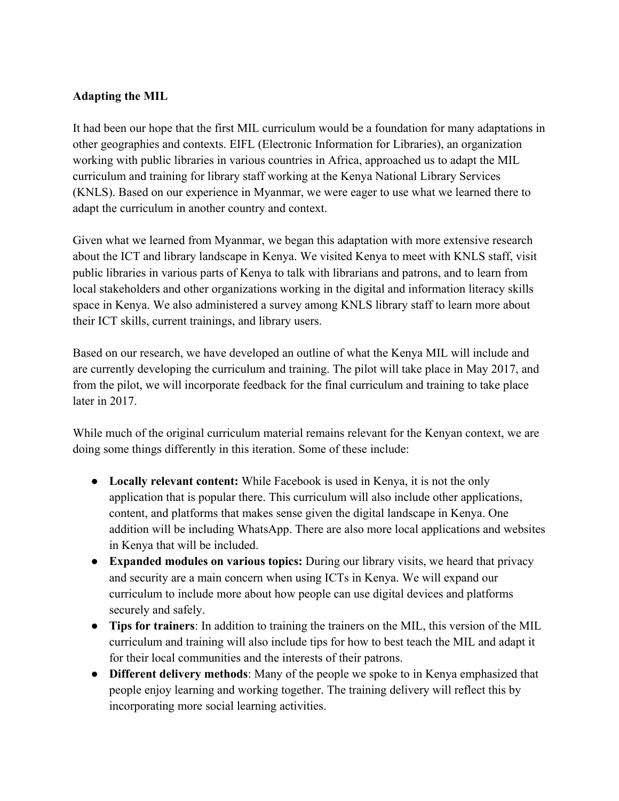## **Adapting the MIL**

It had been our hope that the first MIL curriculum would be a foundation for many adaptations in other geographies and contexts. EIFL (Electronic Information for Libraries), an organization working with public libraries in various countries in Africa, approached us to adapt the MIL curriculum and training for library staff working at the Kenya National Library Services (KNLS). Based on our experience in Myanmar, we were eager to use what we learned there to adapt the curriculum in another country and context.

Given what we learned from Myanmar, we began this adaptation with more extensive research about the ICT and library landscape in Kenya. We visited Kenya to meet with KNLS staff, visit public libraries in various parts of Kenya to talk with librarians and patrons, and to learn from local stakeholders and other organizations working in the digital and information literacy skills space in Kenya. We also administered a survey among KNLS library staff to learn more about their ICT skills, current trainings, and library users.

Based on our research, we have developed an outline of what the Kenya MIL will include and are currently developing the curriculum and training. The pilot will take place in May 2017, and from the pilot, we will incorporate feedback for the final curriculum and training to take place later in 2017.

While much of the original curriculum material remains relevant for the Kenyan context, we are doing some things differently in this iteration. Some of these include:

- **Locally relevant content:** While Facebook is used in Kenya, it is not the only application that is popular there. This curriculum will also include other applications, content, and platforms that makes sense given the digital landscape in Kenya. One addition will be including WhatsApp. There are also more local applications and websites in Kenya that will be included.
- **Expanded modules on various topics:** During our library visits, we heard that privacy and security are a main concern when using ICTs in Kenya. We will expand our curriculum to include more about how people can use digital devices and platforms securely and safely.
- **Tips for trainers**: In addition to training the trainers on the MIL, this version of the MIL curriculum and training will also include tips for how to best teach the MIL and adapt it for their local communities and the interests of their patrons.
- **Different delivery methods**: Many of the people we spoke to in Kenya emphasized that people enjoy learning and working together. The training delivery will reflect this by incorporating more social learning activities.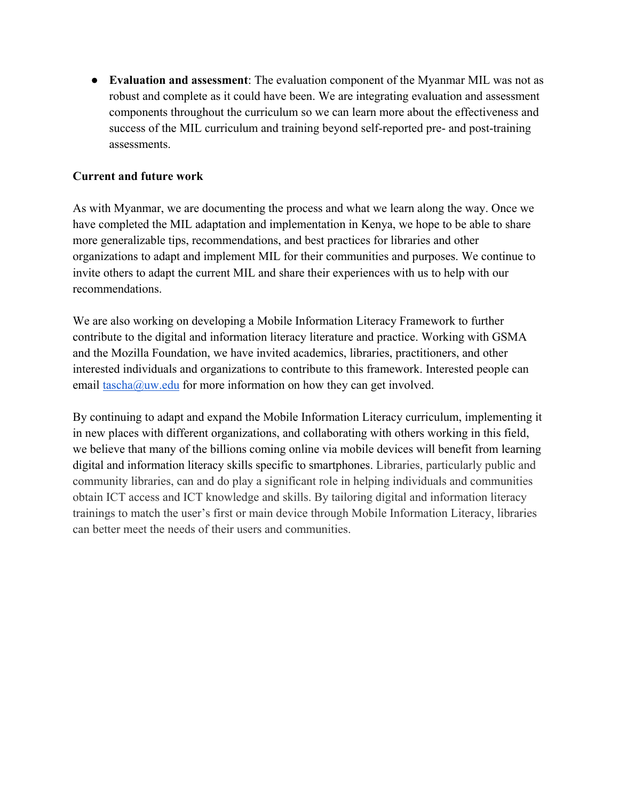● **Evaluation and assessment**: The evaluation component of the Myanmar MIL was not as robust and complete as it could have been. We are integrating evaluation and assessment components throughout the curriculum so we can learn more about the effectiveness and success of the MIL curriculum and training beyond self-reported pre- and post-training assessments.

## **Current and future work**

As with Myanmar, we are documenting the process and what we learn along the way. Once we have completed the MIL adaptation and implementation in Kenya, we hope to be able to share more generalizable tips, recommendations, and best practices for libraries and other organizations to adapt and implement MIL for their communities and purposes. We continue to invite others to adapt the current MIL and share their experiences with us to help with our recommendations.

We are also working on developing a Mobile Information Literacy Framework to further contribute to the digital and information literacy literature and practice. Working with GSMA and the Mozilla Foundation, we have invited academics, libraries, practitioners, and other interested individuals and organizations to contribute to this framework. Interested people can email  $taseha@uw.edu$  for more information on how they can get involved.

By continuing to adapt and expand the Mobile Information Literacy curriculum, implementing it in new places with different organizations, and collaborating with others working in this field, we believe that many of the billions coming online via mobile devices will benefit from learning digital and information literacy skills specific to smartphones. Libraries, particularly public and community libraries, can and do play a significant role in helping individuals and communities obtain ICT access and ICT knowledge and skills. By tailoring digital and information literacy trainings to match the user's first or main device through Mobile Information Literacy, libraries can better meet the needs of their users and communities.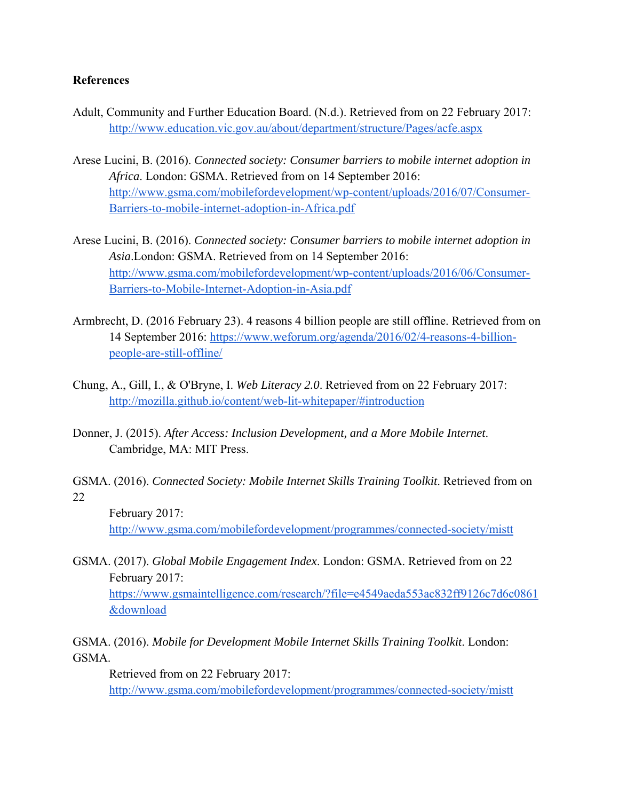#### **References**

- Adult, Community and Further Education Board. (N.d.). Retrieved from on 22 February 2017: http://www.education.vic.gov.au/about/department/structure/Pages/acfe.aspx
- Arese Lucini, B. (2016). *Connected society: Consumer barriers to mobile internet adoption in Africa*. London: GSMA. Retrieved from on 14 September 2016: http://www.gsma.com/mobilefordevelopment/wp-content/uploads/2016/07/Consumer-Barriers-to-mobile-internet-adoption-in-Africa.pdf
- Arese Lucini, B. (2016). *Connected society: Consumer barriers to mobile internet adoption in Asia*.London: GSMA. Retrieved from on 14 September 2016: http://www.gsma.com/mobilefordevelopment/wp-content/uploads/2016/06/Consumer-Barriers-to-Mobile-Internet-Adoption-in-Asia.pdf
- Armbrecht, D. (2016 February 23). 4 reasons 4 billion people are still offline. Retrieved from on 14 September 2016: https://www.weforum.org/agenda/2016/02/4-reasons-4-billionpeople-are-still-offline/
- Chung, A., Gill, I., & O'Bryne, I. *Web Literacy 2.0*. Retrieved from on 22 February 2017: http://mozilla.github.io/content/web-lit-whitepaper/#introduction
- Donner, J. (2015). *After Access: Inclusion Development, and a More Mobile Internet*. Cambridge, MA: MIT Press.
- GSMA. (2016). *Connected Society: Mobile Internet Skills Training Toolkit*. Retrieved from on 22

February 2017: http://www.gsma.com/mobilefordevelopment/programmes/connected-society/mistt

GSMA. (2017). *Global Mobile Engagement Index*. London: GSMA. Retrieved from on 22 February 2017:

https://www.gsmaintelligence.com/research/?file=e4549aeda553ac832ff9126c7d6c0861 &download

GSMA. (2016). *Mobile for Development Mobile Internet Skills Training Toolkit*. London: GSMA.

Retrieved from on 22 February 2017:

http://www.gsma.com/mobilefordevelopment/programmes/connected-society/mistt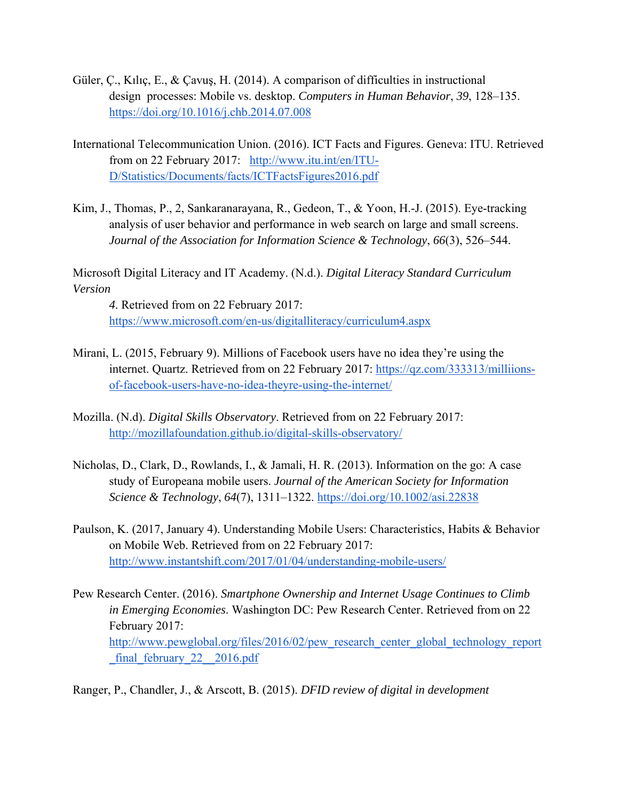- Güler, Ç., Kılıç, E., & Çavuş, H. (2014). A comparison of difficulties in instructional design processes: Mobile vs. desktop. *Computers in Human Behavior*, *39*, 128–135. https://doi.org/10.1016/j.chb.2014.07.008
- International Telecommunication Union. (2016). ICT Facts and Figures. Geneva: ITU. Retrieved from on 22 February 2017: http://www.itu.int/en/ITU-D/Statistics/Documents/facts/ICTFactsFigures2016.pdf
- Kim, J., Thomas, P., 2, Sankaranarayana, R., Gedeon, T., & Yoon, H.-J. (2015). Eye-tracking analysis of user behavior and performance in web search on large and small screens. *Journal of the Association for Information Science & Technology*, *66*(3), 526–544.

Microsoft Digital Literacy and IT Academy. (N.d.). *Digital Literacy Standard Curriculum Version*

*4*. Retrieved from on 22 February 2017: https://www.microsoft.com/en-us/digitalliteracy/curriculum4.aspx

- Mirani, L. (2015, February 9). Millions of Facebook users have no idea they're using the internet. Quartz. Retrieved from on 22 February 2017: https://qz.com/333313/milliionsof-facebook-users-have-no-idea-theyre-using-the-internet/
- Mozilla. (N.d). *Digital Skills Observatory*. Retrieved from on 22 February 2017: http://mozillafoundation.github.io/digital-skills-observatory/
- Nicholas, D., Clark, D., Rowlands, I., & Jamali, H. R. (2013). Information on the go: A case study of Europeana mobile users. *Journal of the American Society for Information Science & Technology*, *64*(7), 1311–1322. https://doi.org/10.1002/asi.22838
- Paulson, K. (2017, January 4). Understanding Mobile Users: Characteristics, Habits & Behavior on Mobile Web. Retrieved from on 22 February 2017: http://www.instantshift.com/2017/01/04/understanding-mobile-users/
- Pew Research Center. (2016). *Smartphone Ownership and Internet Usage Continues to Climb in Emerging Economies*. Washington DC: Pew Research Center. Retrieved from on 22 February 2017: http://www.pewglobal.org/files/2016/02/pew\_research\_center\_global\_technology\_report final february 22 2016.pdf

Ranger, P., Chandler, J., & Arscott, B. (2015). *DFID review of digital in development*